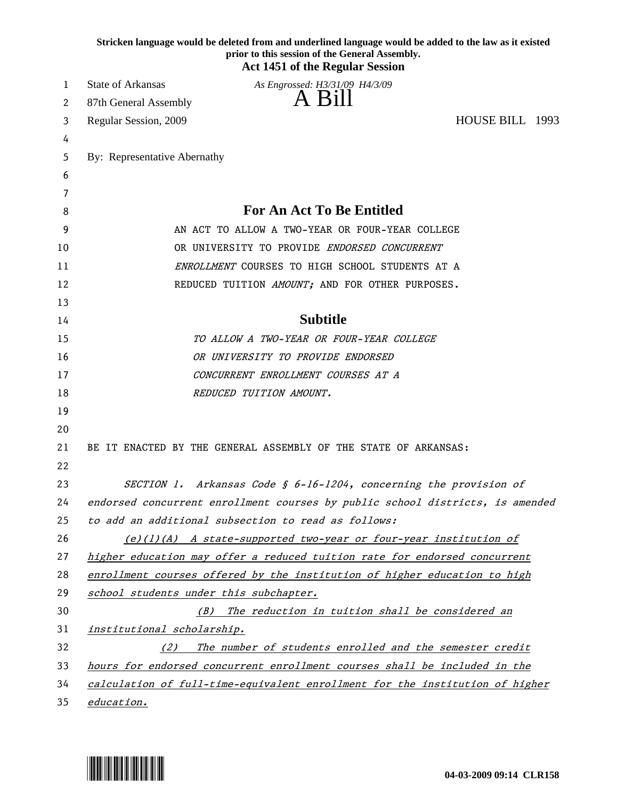| Stricken language would be deleted from and underlined language would be added to the law as it existed<br>prior to this session of the General Assembly.<br><b>Act 1451 of the Regular Session</b> |                                                                               |  |  |  |
|-----------------------------------------------------------------------------------------------------------------------------------------------------------------------------------------------------|-------------------------------------------------------------------------------|--|--|--|
| 1                                                                                                                                                                                                   | <b>State of Arkansas</b><br>As Engrossed: H3/31/09 H4/3/09                    |  |  |  |
| 2                                                                                                                                                                                                   | A Bill<br>87th General Assembly                                               |  |  |  |
| 3                                                                                                                                                                                                   | HOUSE BILL 1993<br>Regular Session, 2009                                      |  |  |  |
| 4                                                                                                                                                                                                   |                                                                               |  |  |  |
| 5                                                                                                                                                                                                   | By: Representative Abernathy                                                  |  |  |  |
| 6                                                                                                                                                                                                   |                                                                               |  |  |  |
| 7                                                                                                                                                                                                   |                                                                               |  |  |  |
| 8                                                                                                                                                                                                   | <b>For An Act To Be Entitled</b>                                              |  |  |  |
| 9                                                                                                                                                                                                   | AN ACT TO ALLOW A TWO-YEAR OR FOUR-YEAR COLLEGE                               |  |  |  |
| 10                                                                                                                                                                                                  | OR UNIVERSITY TO PROVIDE ENDORSED CONCURRENT                                  |  |  |  |
| 11                                                                                                                                                                                                  | ENROLLMENT COURSES TO HIGH SCHOOL STUDENTS AT A                               |  |  |  |
| 12                                                                                                                                                                                                  | REDUCED TUITION AMOUNT; AND FOR OTHER PURPOSES.                               |  |  |  |
| 13                                                                                                                                                                                                  |                                                                               |  |  |  |
| 14                                                                                                                                                                                                  | <b>Subtitle</b>                                                               |  |  |  |
| 15                                                                                                                                                                                                  | TO ALLOW A TWO-YEAR OR FOUR-YEAR COLLEGE                                      |  |  |  |
| 16                                                                                                                                                                                                  | OR UNIVERSITY TO PROVIDE ENDORSED                                             |  |  |  |
| 17                                                                                                                                                                                                  | CONCURRENT ENROLLMENT COURSES AT A                                            |  |  |  |
| 18                                                                                                                                                                                                  | REDUCED TUITION AMOUNT.                                                       |  |  |  |
| 19                                                                                                                                                                                                  |                                                                               |  |  |  |
| 20                                                                                                                                                                                                  |                                                                               |  |  |  |
| 21<br>22                                                                                                                                                                                            | BE IT ENACTED BY THE GENERAL ASSEMBLY OF THE STATE OF ARKANSAS:               |  |  |  |
| 23                                                                                                                                                                                                  | SECTION 1. Arkansas Code § $6-16-1204$ , concerning the provision of          |  |  |  |
| 24                                                                                                                                                                                                  | endorsed concurrent enrollment courses by public school districts, is amended |  |  |  |
| 25                                                                                                                                                                                                  | to add an additional subsection to read as follows:                           |  |  |  |
| 26                                                                                                                                                                                                  | $(e)(1)(A)$ A state-supported two-year or four-year institution of            |  |  |  |
| 27                                                                                                                                                                                                  | higher education may offer a reduced tuition rate for endorsed concurrent     |  |  |  |
| 28                                                                                                                                                                                                  | enrollment courses offered by the institution of higher education to high     |  |  |  |
| 29                                                                                                                                                                                                  | school students under this subchapter.                                        |  |  |  |
| 30                                                                                                                                                                                                  | (B) The reduction in tuition shall be considered an                           |  |  |  |
| 31                                                                                                                                                                                                  | institutional scholarship.                                                    |  |  |  |
| 32                                                                                                                                                                                                  | The number of students enrolled and the semester credit<br>(2)                |  |  |  |
| 33                                                                                                                                                                                                  | hours for endorsed concurrent enrollment courses shall be included in the     |  |  |  |
| 34                                                                                                                                                                                                  | calculation of full-time-equivalent enrollment for the institution of higher  |  |  |  |
| 35                                                                                                                                                                                                  | education.                                                                    |  |  |  |